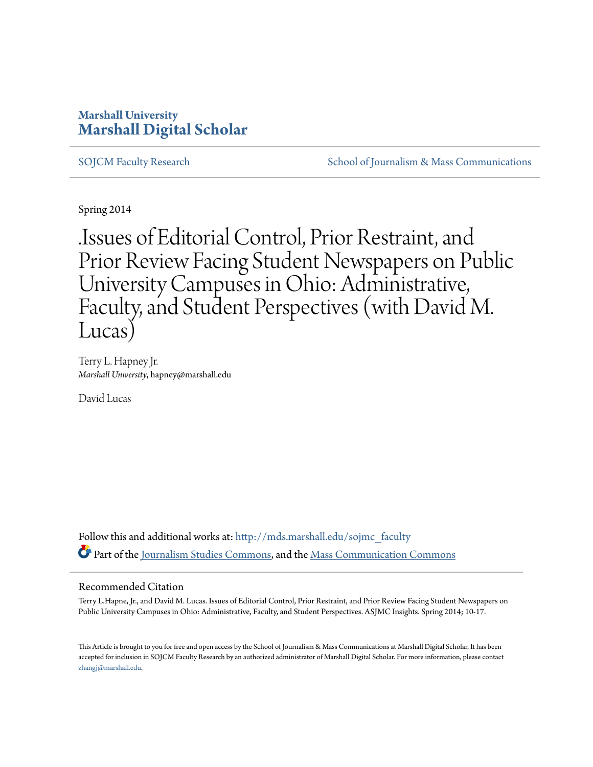### **Marshall University [Marshall Digital Scholar](http://mds.marshall.edu?utm_source=mds.marshall.edu%2Fsojmc_faculty%2F5&utm_medium=PDF&utm_campaign=PDFCoverPages)**

[SOJCM Faculty Research](http://mds.marshall.edu/sojmc_faculty?utm_source=mds.marshall.edu%2Fsojmc_faculty%2F5&utm_medium=PDF&utm_campaign=PDFCoverPages) [School of Journalism & Mass Communications](http://mds.marshall.edu/sojmc?utm_source=mds.marshall.edu%2Fsojmc_faculty%2F5&utm_medium=PDF&utm_campaign=PDFCoverPages)

Spring 2014

.Issues of Editorial Control, Prior Restraint, and Prior Review Facing Student Newspapers on Public University Campuses in Ohio: Administrative, Faculty, and Student Perspectives (with David M. Lucas)

Terry L. Hapney Jr. *Marshall University*, hapney@marshall.edu

David Lucas

Follow this and additional works at: [http://mds.marshall.edu/sojmc\\_faculty](http://mds.marshall.edu/sojmc_faculty?utm_source=mds.marshall.edu%2Fsojmc_faculty%2F5&utm_medium=PDF&utm_campaign=PDFCoverPages) Part of the [Journalism Studies Commons](http://network.bepress.com/hgg/discipline/333?utm_source=mds.marshall.edu%2Fsojmc_faculty%2F5&utm_medium=PDF&utm_campaign=PDFCoverPages), and the [Mass Communication Commons](http://network.bepress.com/hgg/discipline/334?utm_source=mds.marshall.edu%2Fsojmc_faculty%2F5&utm_medium=PDF&utm_campaign=PDFCoverPages)

#### Recommended Citation

Terry L.Hapne, Jr., and David M. Lucas. Issues of Editorial Control, Prior Restraint, and Prior Review Facing Student Newspapers on Public University Campuses in Ohio: Administrative, Faculty, and Student Perspectives. ASJMC Insights. Spring 2014; 10-17.

This Article is brought to you for free and open access by the School of Journalism & Mass Communications at Marshall Digital Scholar. It has been accepted for inclusion in SOJCM Faculty Research by an authorized administrator of Marshall Digital Scholar. For more information, please contact [zhangj@marshall.edu.](mailto:zhangj@marshall.edu)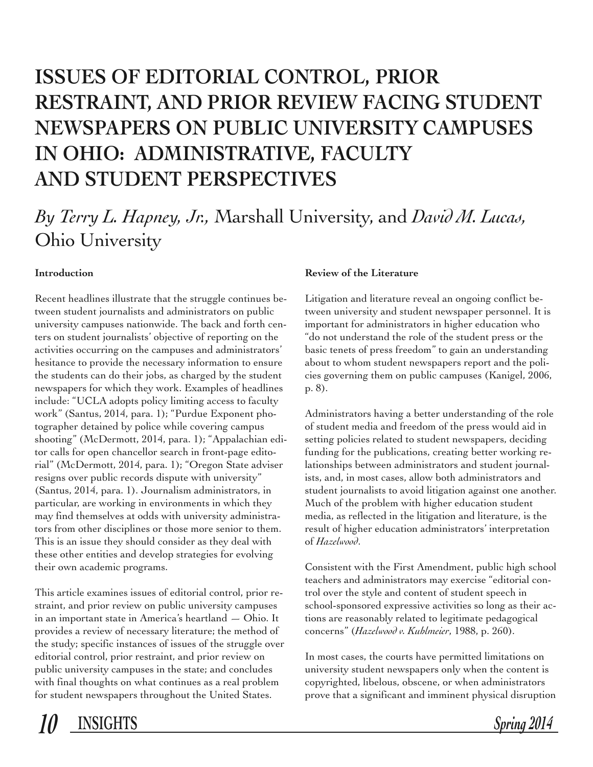# **ISSUES OF EDITORIAL CONTROL, PRIOR RESTRAINT, AND PRIOR REVIEW FACING STUDENT NEWSPAPERS ON PUBLIC UNIVERSITY CAMPUSES IN OHIO: ADMINISTRATIVE, FACULTY AND STUDENT PERSPECTIVES**

## *By Terry L. Hapney, Jr.,* Marshall University, and *David M. Lucas,* Ohio University

#### **Introduction**

Recent headlines illustrate that the struggle continues between student journalists and administrators on public university campuses nationwide. The back and forth centers on student journalists' objective of reporting on the activities occurring on the campuses and administrators' hesitance to provide the necessary information to ensure the students can do their jobs, as charged by the student newspapers for which they work. Examples of headlines include: "UCLA adopts policy limiting access to faculty work" (Santus, 2014, para. 1); "Purdue Exponent photographer detained by police while covering campus shooting" (McDermott, 2014, para. 1); "Appalachian editor calls for open chancellor search in front-page editorial" (McDermott, 2014, para. 1); "Oregon State adviser resigns over public records dispute with university" (Santus, 2014, para. 1). Journalism administrators, in particular, are working in environments in which they may find themselves at odds with university administrators from other disciplines or those more senior to them. This is an issue they should consider as they deal with these other entities and develop strategies for evolving their own academic programs.

This article examines issues of editorial control, prior restraint, and prior review on public university campuses in an important state in America's heartland — Ohio. It provides a review of necessary literature; the method of the study; specific instances of issues of the struggle over editorial control, prior restraint, and prior review on public university campuses in the state; and concludes with final thoughts on what continues as a real problem for student newspapers throughout the United States.

#### **Review of the Literature**

Litigation and literature reveal an ongoing conflict between university and student newspaper personnel. It is important for administrators in higher education who "do not understand the role of the student press or the basic tenets of press freedom" to gain an understanding about to whom student newspapers report and the policies governing them on public campuses (Kanigel, 2006, p. 8).

Administrators having a better understanding of the role of student media and freedom of the press would aid in setting policies related to student newspapers, deciding funding for the publications, creating better working relationships between administrators and student journalists, and, in most cases, allow both administrators and student journalists to avoid litigation against one another. Much of the problem with higher education student media, as reflected in the litigation and literature, is the result of higher education administrators' interpretation of *Hazelwood*.

Consistent with the First Amendment, public high school teachers and administrators may exercise "editorial control over the style and content of student speech in school-sponsored expressive activities so long as their actions are reasonably related to legitimate pedagogical concerns" (*Hazelwood v. Kuhlmeier*, 1988, p. 260).

In most cases, the courts have permitted limitations on university student newspapers only when the content is copyrighted, libelous, obscene, or when administrators prove that a significant and imminent physical disruption

*10* **INSIGHTS** *Spring 2014*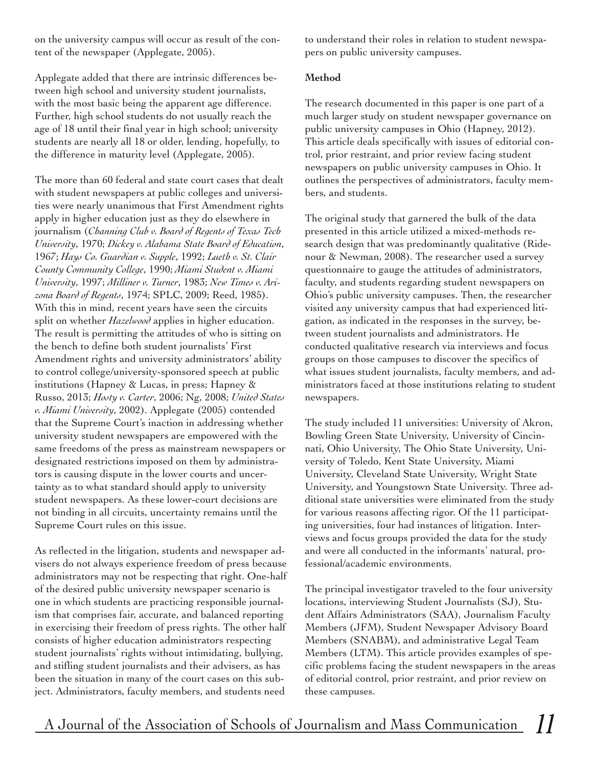on the university campus will occur as result of the content of the newspaper (Applegate, 2005).

Applegate added that there are intrinsic differences between high school and university student journalists, with the most basic being the apparent age difference. Further, high school students do not usually reach the age of 18 until their final year in high school; university students are nearly all 18 or older, lending, hopefully, to the difference in maturity level (Applegate, 2005).

The more than 60 federal and state court cases that dealt with student newspapers at public colleges and universities were nearly unanimous that First Amendment rights apply in higher education just as they do elsewhere in journalism (*Channing Club v. Board of Regents of Texas Tech University*, 1970; *Dickey v. Alabama State Board of Education*, 1967; *Hays Co. Guardian v. Supple*, 1992; *Lueth v. St. Clair County Community College*, 1990; *Miami Student v. Miami University*, 1997; *Milliner v. Turner*, 1983; *New Times v. Arizona Board of Regents*, 1974; SPLC, 2009; Reed, 1985). With this in mind, recent years have seen the circuits split on whether *Hazelwood* applies in higher education. The result is permitting the attitudes of who is sitting on the bench to define both student journalists' First Amendment rights and university administrators' ability to control college/university-sponsored speech at public institutions (Hapney & Lucas, in press; Hapney & Russo, 2013; *Hosty v. Carter*, 2006; Ng, 2008; *United States v. Miami University*, 2002). Applegate (2005) contended that the Supreme Court's inaction in addressing whether university student newspapers are empowered with the same freedoms of the press as mainstream newspapers or designated restrictions imposed on them by administrators is causing dispute in the lower courts and uncertainty as to what standard should apply to university student newspapers. As these lower-court decisions are not binding in all circuits, uncertainty remains until the Supreme Court rules on this issue.

As reflected in the litigation, students and newspaper advisers do not always experience freedom of press because administrators may not be respecting that right. One-half of the desired public university newspaper scenario is one in which students are practicing responsible journalism that comprises fair, accurate, and balanced reporting in exercising their freedom of press rights. The other half consists of higher education administrators respecting student journalists' rights without intimidating, bullying, and stifling student journalists and their advisers, as has been the situation in many of the court cases on this subject. Administrators, faculty members, and students need

to understand their roles in relation to student newspapers on public university campuses.

#### **Method**

The research documented in this paper is one part of a much larger study on student newspaper governance on public university campuses in Ohio (Hapney, 2012). This article deals specifically with issues of editorial control, prior restraint, and prior review facing student newspapers on public university campuses in Ohio. It outlines the perspectives of administrators, faculty members, and students.

The original study that garnered the bulk of the data presented in this article utilized a mixed-methods research design that was predominantly qualitative (Ridenour & Newman, 2008). The researcher used a survey questionnaire to gauge the attitudes of administrators, faculty, and students regarding student newspapers on Ohio's public university campuses. Then, the researcher visited any university campus that had experienced litigation, as indicated in the responses in the survey, between student journalists and administrators. He conducted qualitative research via interviews and focus groups on those campuses to discover the specifics of what issues student journalists, faculty members, and administrators faced at those institutions relating to student newspapers.

The study included 11 universities: University of Akron, Bowling Green State University, University of Cincinnati, Ohio University, The Ohio State University, University of Toledo, Kent State University, Miami University, Cleveland State University, Wright State University, and Youngstown State University. Three additional state universities were eliminated from the study for various reasons affecting rigor. Of the 11 participating universities, four had instances of litigation. Interviews and focus groups provided the data for the study and were all conducted in the informants' natural, professional/academic environments.

The principal investigator traveled to the four university locations, interviewing Student Journalists (SJ), Student Affairs Administrators (SAA), Journalism Faculty Members (JFM), Student Newspaper Advisory Board Members (SNABM), and administrative Legal Team Members (LTM). This article provides examples of specific problems facing the student newspapers in the areas of editorial control, prior restraint, and prior review on these campuses.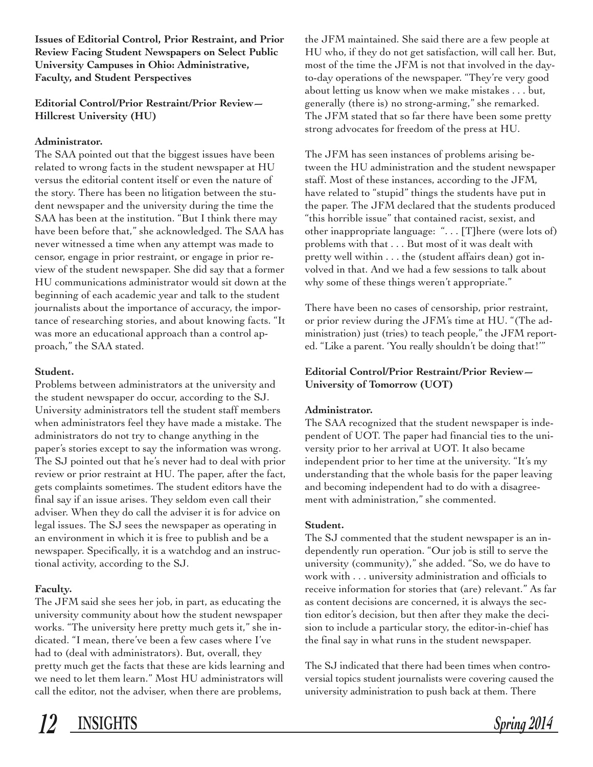**Issues of Editorial Control, Prior Restraint, and Prior Review Facing Student Newspapers on Select Public University Campuses in Ohio: Administrative, Faculty, and Student Perspectives** 

#### **Editorial Control/Prior Restraint/Prior Review— Hillcrest University (HU)**

#### **Administrator.**

The SAA pointed out that the biggest issues have been related to wrong facts in the student newspaper at HU versus the editorial content itself or even the nature of the story. There has been no litigation between the student newspaper and the university during the time the SAA has been at the institution. "But I think there may have been before that," she acknowledged. The SAA has never witnessed a time when any attempt was made to censor, engage in prior restraint, or engage in prior review of the student newspaper. She did say that a former HU communications administrator would sit down at the beginning of each academic year and talk to the student journalists about the importance of accuracy, the importance of researching stories, and about knowing facts. "It was more an educational approach than a control approach," the SAA stated.

#### **Student.**

Problems between administrators at the university and the student newspaper do occur, according to the SJ. University administrators tell the student staff members when administrators feel they have made a mistake. The administrators do not try to change anything in the paper's stories except to say the information was wrong. The SJ pointed out that he's never had to deal with prior review or prior restraint at HU. The paper, after the fact, gets complaints sometimes. The student editors have the final say if an issue arises. They seldom even call their adviser. When they do call the adviser it is for advice on legal issues. The SJ sees the newspaper as operating in an environment in which it is free to publish and be a newspaper. Specifically, it is a watchdog and an instructional activity, according to the SJ.

#### **Faculty.**

The JFM said she sees her job, in part, as educating the university community about how the student newspaper works. "The university here pretty much gets it," she indicated. "I mean, there've been a few cases where I've had to (deal with administrators). But, overall, they pretty much get the facts that these are kids learning and we need to let them learn." Most HU administrators will call the editor, not the adviser, when there are problems,

the JFM maintained. She said there are a few people at HU who, if they do not get satisfaction, will call her. But, most of the time the JFM is not that involved in the dayto-day operations of the newspaper. "They're very good about letting us know when we make mistakes . . . but, generally (there is) no strong-arming," she remarked. The JFM stated that so far there have been some pretty strong advocates for freedom of the press at HU.

The JFM has seen instances of problems arising between the HU administration and the student newspaper staff. Most of these instances, according to the JFM, have related to "stupid" things the students have put in the paper. The JFM declared that the students produced "this horrible issue" that contained racist, sexist, and other inappropriate language: ". . . [T]here (were lots of) problems with that . . . But most of it was dealt with pretty well within . . . the (student affairs dean) got involved in that. And we had a few sessions to talk about why some of these things weren't appropriate."

There have been no cases of censorship, prior restraint, or prior review during the JFM's time at HU. "(The administration) just (tries) to teach people," the JFM reported. "Like a parent. 'You really shouldn't be doing that!'"

#### **Editorial Control/Prior Restraint/Prior Review— University of Tomorrow (UOT)**

#### **Administrator.**

The SAA recognized that the student newspaper is independent of UOT. The paper had financial ties to the university prior to her arrival at UOT. It also became independent prior to her time at the university. "It's my understanding that the whole basis for the paper leaving and becoming independent had to do with a disagreement with administration," she commented.

#### **Student.**

The SJ commented that the student newspaper is an independently run operation. "Our job is still to serve the university (community)," she added. "So, we do have to work with . . . university administration and officials to receive information for stories that (are) relevant." As far as content decisions are concerned, it is always the section editor's decision, but then after they make the decision to include a particular story, the editor-in-chief has the final say in what runs in the student newspaper.

The SJ indicated that there had been times when controversial topics student journalists were covering caused the university administration to push back at them. There

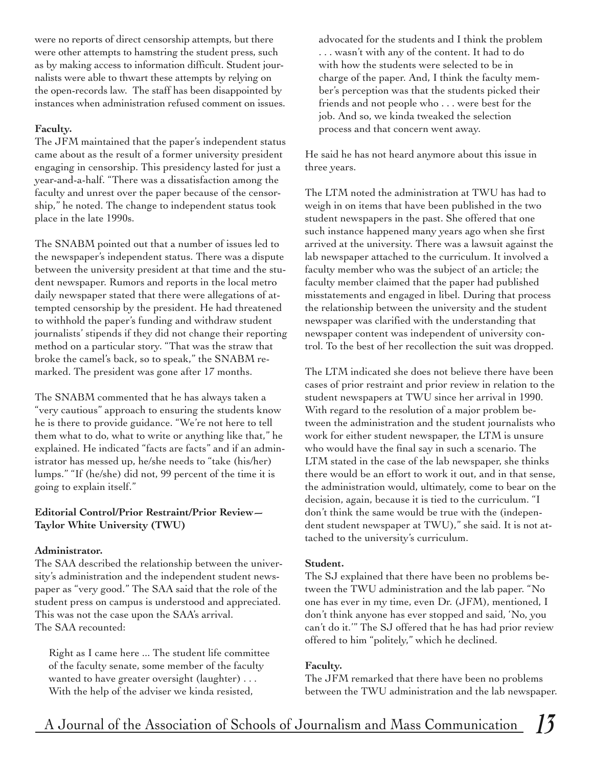were no reports of direct censorship attempts, but there were other attempts to hamstring the student press, such as by making access to information difficult. Student journalists were able to thwart these attempts by relying on the open-records law. The staff has been disappointed by instances when administration refused comment on issues.

#### **Faculty.**

The JFM maintained that the paper's independent status came about as the result of a former university president engaging in censorship. This presidency lasted for just a year-and-a-half. "There was a dissatisfaction among the faculty and unrest over the paper because of the censorship," he noted. The change to independent status took place in the late 1990s.

The SNABM pointed out that a number of issues led to the newspaper's independent status. There was a dispute between the university president at that time and the student newspaper. Rumors and reports in the local metro daily newspaper stated that there were allegations of attempted censorship by the president. He had threatened to withhold the paper's funding and withdraw student journalists' stipends if they did not change their reporting method on a particular story. "That was the straw that broke the camel's back, so to speak," the SNABM remarked. The president was gone after 17 months.

The SNABM commented that he has always taken a "very cautious" approach to ensuring the students know he is there to provide guidance. "We're not here to tell them what to do, what to write or anything like that," he explained. He indicated "facts are facts" and if an administrator has messed up, he/she needs to "take (his/her) lumps." "If (he/she) did not, 99 percent of the time it is going to explain itself."

#### **Editorial Control/Prior Restraint/Prior Review— Taylor White University (TWU)**

#### **Administrator.**

The SAA described the relationship between the university's administration and the independent student newspaper as "very good." The SAA said that the role of the student press on campus is understood and appreciated. This was not the case upon the SAA's arrival. The SAA recounted:

Right as I came here ... The student life committee of the faculty senate, some member of the faculty wanted to have greater oversight (laughter) . . . With the help of the adviser we kinda resisted,

advocated for the students and I think the problem . . . wasn't with any of the content. It had to do with how the students were selected to be in charge of the paper. And, I think the faculty member's perception was that the students picked their friends and not people who . . . were best for the job. And so, we kinda tweaked the selection process and that concern went away.

He said he has not heard anymore about this issue in three years.

The LTM noted the administration at TWU has had to weigh in on items that have been published in the two student newspapers in the past. She offered that one such instance happened many years ago when she first arrived at the university. There was a lawsuit against the lab newspaper attached to the curriculum. It involved a faculty member who was the subject of an article; the faculty member claimed that the paper had published misstatements and engaged in libel. During that process the relationship between the university and the student newspaper was clarified with the understanding that newspaper content was independent of university control. To the best of her recollection the suit was dropped.

The LTM indicated she does not believe there have been cases of prior restraint and prior review in relation to the student newspapers at TWU since her arrival in 1990. With regard to the resolution of a major problem between the administration and the student journalists who work for either student newspaper, the LTM is unsure who would have the final say in such a scenario. The LTM stated in the case of the lab newspaper, she thinks there would be an effort to work it out, and in that sense, the administration would, ultimately, come to bear on the decision, again, because it is tied to the curriculum. "I don't think the same would be true with the (independent student newspaper at TWU)," she said. It is not attached to the university's curriculum.

#### **Student.**

The SJ explained that there have been no problems between the TWU administration and the lab paper. "No one has ever in my time, even Dr. (JFM), mentioned, I don't think anyone has ever stopped and said, 'No, you can't do it.'" The SJ offered that he has had prior review offered to him "politely," which he declined.

#### **Faculty.**

The JFM remarked that there have been no problems between the TWU administration and the lab newspaper.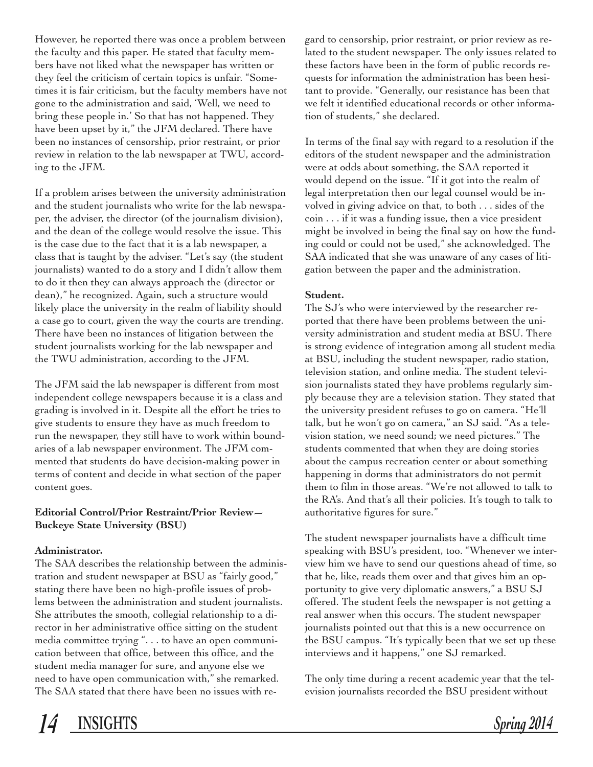However, he reported there was once a problem between the faculty and this paper. He stated that faculty members have not liked what the newspaper has written or they feel the criticism of certain topics is unfair. "Sometimes it is fair criticism, but the faculty members have not gone to the administration and said, 'Well, we need to bring these people in.' So that has not happened. They have been upset by it," the JFM declared. There have been no instances of censorship, prior restraint, or prior review in relation to the lab newspaper at TWU, according to the JFM.

If a problem arises between the university administration and the student journalists who write for the lab newspaper, the adviser, the director (of the journalism division), and the dean of the college would resolve the issue. This is the case due to the fact that it is a lab newspaper, a class that is taught by the adviser. "Let's say (the student journalists) wanted to do a story and I didn't allow them to do it then they can always approach the (director or dean)," he recognized. Again, such a structure would likely place the university in the realm of liability should a case go to court, given the way the courts are trending. There have been no instances of litigation between the student journalists working for the lab newspaper and the TWU administration, according to the JFM.

The JFM said the lab newspaper is different from most independent college newspapers because it is a class and grading is involved in it. Despite all the effort he tries to give students to ensure they have as much freedom to run the newspaper, they still have to work within boundaries of a lab newspaper environment. The JFM commented that students do have decision-making power in terms of content and decide in what section of the paper content goes.

#### **Editorial Control/Prior Restraint/Prior Review— Buckeye State University (BSU)**

#### **Administrator.**

The SAA describes the relationship between the administration and student newspaper at BSU as "fairly good," stating there have been no high-profile issues of problems between the administration and student journalists. She attributes the smooth, collegial relationship to a director in her administrative office sitting on the student media committee trying ". . . to have an open communication between that office, between this office, and the student media manager for sure, and anyone else we need to have open communication with," she remarked. The SAA stated that there have been no issues with reIn terms of the final say with regard to a resolution if the editors of the student newspaper and the administration were at odds about something, the SAA reported it would depend on the issue. "If it got into the realm of legal interpretation then our legal counsel would be involved in giving advice on that, to both . . . sides of the coin . . . if it was a funding issue, then a vice president might be involved in being the final say on how the funding could or could not be used," she acknowledged. The SAA indicated that she was unaware of any cases of litigation between the paper and the administration.

#### **Student.**

The SJ's who were interviewed by the researcher reported that there have been problems between the university administration and student media at BSU. There is strong evidence of integration among all student media at BSU, including the student newspaper, radio station, television station, and online media. The student television journalists stated they have problems regularly simply because they are a television station. They stated that the university president refuses to go on camera. "He'll talk, but he won't go on camera," an SJ said. "As a television station, we need sound; we need pictures." The students commented that when they are doing stories about the campus recreation center or about something happening in dorms that administrators do not permit them to film in those areas. "We're not allowed to talk to the RA's. And that's all their policies. It's tough to talk to authoritative figures for sure."

The student newspaper journalists have a difficult time speaking with BSU's president, too. "Whenever we interview him we have to send our questions ahead of time, so that he, like, reads them over and that gives him an opportunity to give very diplomatic answers," a BSU SJ offered. The student feels the newspaper is not getting a real answer when this occurs. The student newspaper journalists pointed out that this is a new occurrence on the BSU campus. "It's typically been that we set up these interviews and it happens," one SJ remarked.

The only time during a recent academic year that the television journalists recorded the BSU president without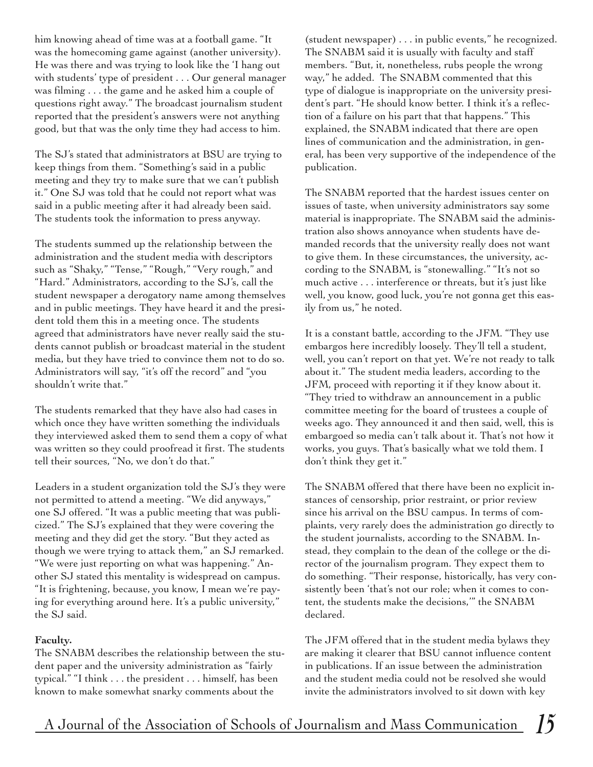him knowing ahead of time was at a football game. "It was the homecoming game against (another university). He was there and was trying to look like the 'I hang out with students' type of president . . . Our general manager was filming . . . the game and he asked him a couple of questions right away." The broadcast journalism student reported that the president's answers were not anything good, but that was the only time they had access to him.

The SJ's stated that administrators at BSU are trying to keep things from them. "Something's said in a public meeting and they try to make sure that we can't publish it." One SJ was told that he could not report what was said in a public meeting after it had already been said. The students took the information to press anyway.

The students summed up the relationship between the administration and the student media with descriptors such as "Shaky," "Tense," "Rough," "Very rough," and "Hard." Administrators, according to the SJ's, call the student newspaper a derogatory name among themselves and in public meetings. They have heard it and the president told them this in a meeting once. The students agreed that administrators have never really said the students cannot publish or broadcast material in the student media, but they have tried to convince them not to do so. Administrators will say, "it's off the record" and "you shouldn't write that."

The students remarked that they have also had cases in which once they have written something the individuals they interviewed asked them to send them a copy of what was written so they could proofread it first. The students tell their sources, "No, we don't do that."

Leaders in a student organization told the SJ's they were not permitted to attend a meeting. "We did anyways," one SJ offered. "It was a public meeting that was publicized." The SJ's explained that they were covering the meeting and they did get the story. "But they acted as though we were trying to attack them," an SJ remarked. "We were just reporting on what was happening." Another SJ stated this mentality is widespread on campus. "It is frightening, because, you know, I mean we're paying for everything around here. It's a public university," the SJ said.

#### **Faculty.**

The SNABM describes the relationship between the student paper and the university administration as "fairly typical." "I think . . . the president . . . himself, has been known to make somewhat snarky comments about the

(student newspaper) . . . in public events," he recognized. The SNABM said it is usually with faculty and staff members. "But, it, nonetheless, rubs people the wrong way," he added. The SNABM commented that this type of dialogue is inappropriate on the university president's part. "He should know better. I think it's a reflection of a failure on his part that that happens." This explained, the SNABM indicated that there are open lines of communication and the administration, in general, has been very supportive of the independence of the publication.

The SNABM reported that the hardest issues center on issues of taste, when university administrators say some material is inappropriate. The SNABM said the administration also shows annoyance when students have demanded records that the university really does not want to give them. In these circumstances, the university, according to the SNABM, is "stonewalling." "It's not so much active . . . interference or threats, but it's just like well, you know, good luck, you're not gonna get this easily from us," he noted.

It is a constant battle, according to the JFM. "They use embargos here incredibly loosely. They'll tell a student, well, you can't report on that yet. We're not ready to talk about it." The student media leaders, according to the JFM, proceed with reporting it if they know about it. "They tried to withdraw an announcement in a public committee meeting for the board of trustees a couple of weeks ago. They announced it and then said, well, this is embargoed so media can't talk about it. That's not how it works, you guys. That's basically what we told them. I don't think they get it."

The SNABM offered that there have been no explicit instances of censorship, prior restraint, or prior review since his arrival on the BSU campus. In terms of complaints, very rarely does the administration go directly to the student journalists, according to the SNABM. Instead, they complain to the dean of the college or the director of the journalism program. They expect them to do something. "Their response, historically, has very consistently been 'that's not our role; when it comes to content, the students make the decisions,'" the SNABM declared.

The JFM offered that in the student media bylaws they are making it clearer that BSU cannot influence content in publications. If an issue between the administration and the student media could not be resolved she would invite the administrators involved to sit down with key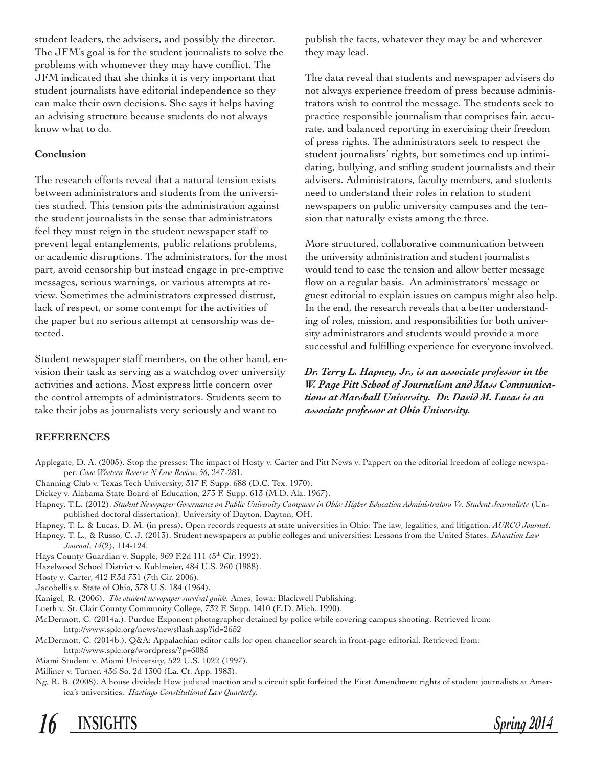student leaders, the advisers, and possibly the director. The JFM's goal is for the student journalists to solve the problems with whomever they may have conflict. The JFM indicated that she thinks it is very important that student journalists have editorial independence so they can make their own decisions. She says it helps having an advising structure because students do not always know what to do.

#### **Conclusion**

The research efforts reveal that a natural tension exists between administrators and students from the universities studied. This tension pits the administration against the student journalists in the sense that administrators feel they must reign in the student newspaper staff to prevent legal entanglements, public relations problems, or academic disruptions. The administrators, for the most part, avoid censorship but instead engage in pre-emptive messages, serious warnings, or various attempts at review. Sometimes the administrators expressed distrust, lack of respect, or some contempt for the activities of the paper but no serious attempt at censorship was detected.

Student newspaper staff members, on the other hand, envision their task as serving as a watchdog over university activities and actions. Most express little concern over the control attempts of administrators. Students seem to take their jobs as journalists very seriously and want to

publish the facts, whatever they may be and wherever they may lead.

The data reveal that students and newspaper advisers do not always experience freedom of press because administrators wish to control the message. The students seek to practice responsible journalism that comprises fair, accurate, and balanced reporting in exercising their freedom of press rights. The administrators seek to respect the student journalists' rights, but sometimes end up intimidating, bullying, and stifling student journalists and their advisers. Administrators, faculty members, and students need to understand their roles in relation to student newspapers on public university campuses and the tension that naturally exists among the three.

More structured, collaborative communication between the university administration and student journalists would tend to ease the tension and allow better message flow on a regular basis. An administrators' message or guest editorial to explain issues on campus might also help. In the end, the research reveals that a better understanding of roles, mission, and responsibilities for both university administrators and students would provide a more successful and fulfilling experience for everyone involved.

*Dr. Terry L. Hapney, Jr., is an associate professor in the W. Page Pitt School of Journalism and Mass Communications at Marshall University. Dr. David M. Lucas is an associate professor at Ohio University.*

#### **REFERENCES**

- Applegate, D. A. (2005). Stop the presses: The impact of Hosty v. Carter and Pitt News v. Pappert on the editorial freedom of college newspaper. *Case Western Reserve N Law Review, 56*, 247-281.
- Channing Club v. Texas Tech University, 317 F. Supp. 688 (D.C. Tex. 1970).
- Dickey v. Alabama State Board of Education, 273 F. Supp. 613 (M.D. Ala. 1967).
- Hapney, T.L. (2012). *Student Newspaper Governance on Public University Campuses in Ohio: Higher Education Administrators Vs. Student Journalists* (Unpublished doctoral dissertation). University of Dayton, Dayton, OH.
- Hapney, T. L. & Lucas, D. M. (in press). Open records requests at state universities in Ohio: The law, legalities, and litigation. *AURCO Journal*.
- Hapney, T. L., & Russo, C. J. (2013). Student newspapers at public colleges and universities: Lessons from the United States. *Education Law Journal*, *14*(2), 114-124.
- Hays County Guardian v. Supple, 969 F.2d 111 (5th Cir. 1992).
- Hazelwood School District v. Kuhlmeier, 484 U.S. 260 (1988).
- Hosty v. Carter, 412 F.3d 731 (7th Cir. 2006).
- Jacobellis v. State of Ohio, 378 U.S. 184 (1964).
- Kanigel, R. (2006). *The student newspaper survival guide.* Ames, Iowa: Blackwell Publishing.
- Lueth v. St. Clair County Community College, 732 F. Supp. 1410 (E.D. Mich. 1990).
- McDermott, C. (2014a.). Purdue Exponent photographer detained by police while covering campus shooting. Retrieved from: http://www.splc.org/news/newsflash.asp?id=2652
- McDermott, C. (2014b.). Q&A: Appalachian editor calls for open chancellor search in front-page editorial. Retrieved from: http://www.splc.org/wordpress/?p=6085
- Miami Student v. Miami University, 522 U.S. 1022 (1997).
- Milliner v. Turner, 436 So. 2d 1300 (La. Ct. App. 1983).
- Ng, R. B. (2008). A house divided: How judicial inaction and a circuit split forfeited the First Amendment rights of student journalists at America's universities. *Hastings Constitutional Law Quarterly*.

*16* **INSIGHTS** *Spring 2014*